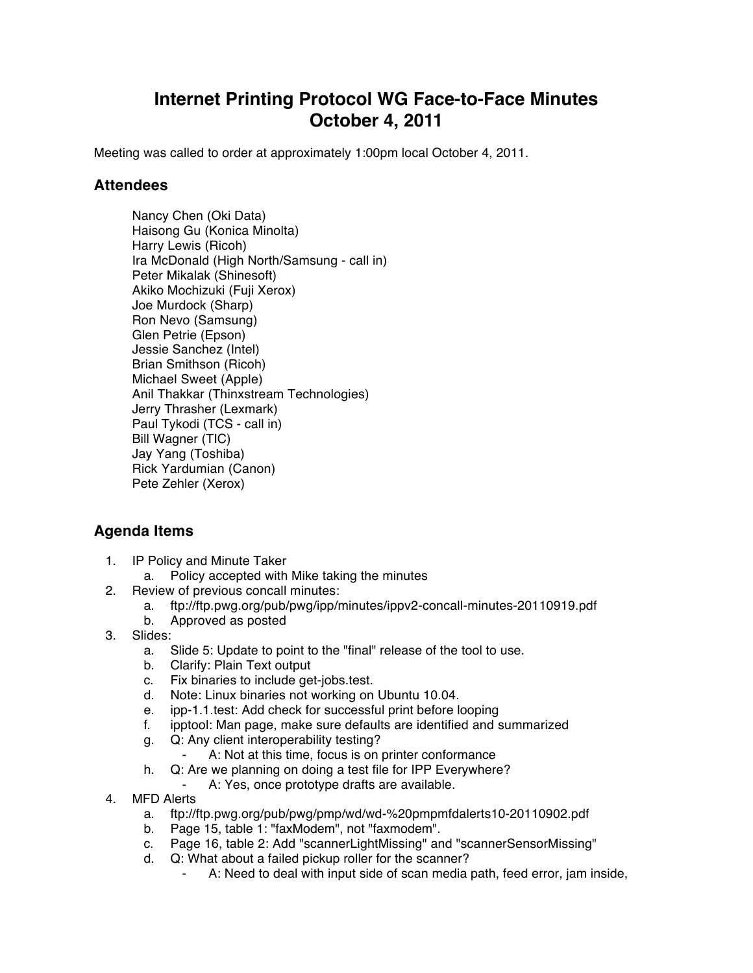## **Internet Printing Protocol WG Face-to-Face Minutes October 4, 2011**

Meeting was called to order at approximately 1:00pm local October 4, 2011.

## **Attendees**

Nancy Chen (Oki Data) Haisong Gu (Konica Minolta) Harry Lewis (Ricoh) Ira McDonald (High North/Samsung - call in) Peter Mikalak (Shinesoft) Akiko Mochizuki (Fuji Xerox) Joe Murdock (Sharp) Ron Nevo (Samsung) Glen Petrie (Epson) Jessie Sanchez (Intel) Brian Smithson (Ricoh) Michael Sweet (Apple) Anil Thakkar (Thinxstream Technologies) Jerry Thrasher (Lexmark) Paul Tykodi (TCS - call in) Bill Wagner (TIC) Jay Yang (Toshiba) Rick Yardumian (Canon) Pete Zehler (Xerox)

## **Agenda Items**

- 1. IP Policy and Minute Taker
	- a. Policy accepted with Mike taking the minutes
- 2. Review of previous concall minutes:
	- a. ftp://ftp.pwg.org/pub/pwg/ipp/minutes/ippv2-concall-minutes-20110919.pdf
	- b. Approved as posted
- 3. Slides:
	- a. Slide 5: Update to point to the "final" release of the tool to use.
	- b. Clarify: Plain Text output
	- c. Fix binaries to include get-jobs.test.
	- d. Note: Linux binaries not working on Ubuntu 10.04.
	- e. ipp-1.1.test: Add check for successful print before looping
	- f. ipptool: Man page, make sure defaults are identified and summarized
	- g. Q: Any client interoperability testing?
		- A: Not at this time, focus is on printer conformance
	- h. Q: Are we planning on doing a test file for IPP Everywhere?
		- ⁃ A: Yes, once prototype drafts are available.
- 4. MFD Alerts
	- a. ftp://ftp.pwg.org/pub/pwg/pmp/wd/wd-%20pmpmfdalerts10-20110902.pdf
	- b. Page 15, table 1: "faxModem", not "faxmodem".
	- c. Page 16, table 2: Add "scannerLightMissing" and "scannerSensorMissing"
	- d. Q: What about a failed pickup roller for the scanner?
		- A: Need to deal with input side of scan media path, feed error, jam inside,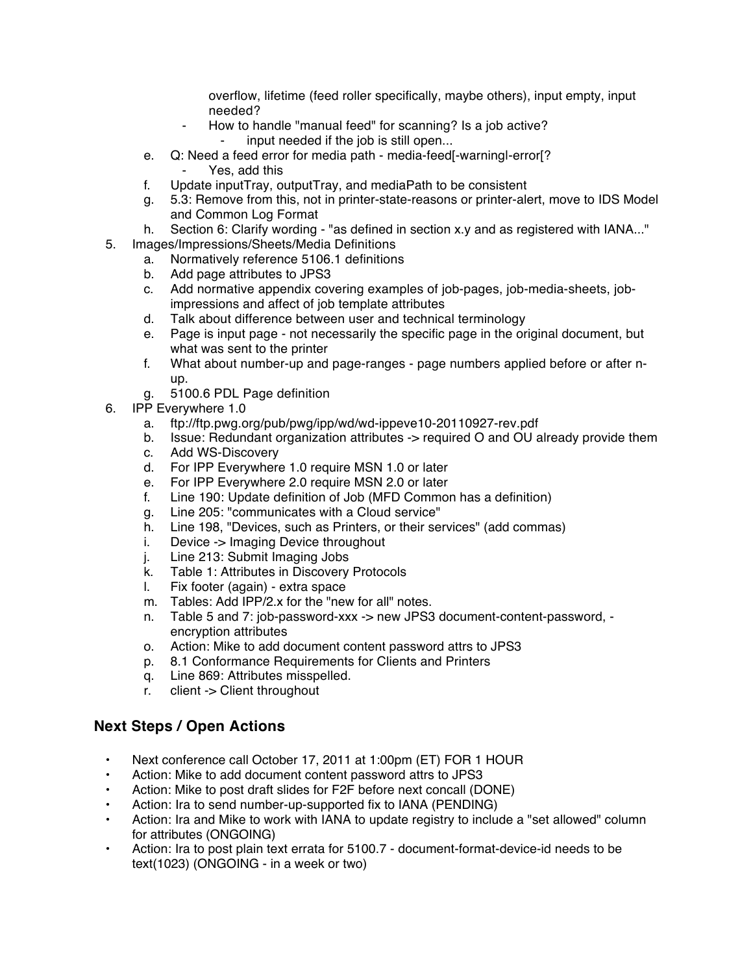overflow, lifetime (feed roller specifically, maybe others), input empty, input needed?

- ⁃ How to handle "manual feed" for scanning? Is a job active? input needed if the job is still open...
- e. Q: Need a feed error for media path media-feed[-warning|-error[? Yes, add this
- f. Update inputTray, outputTray, and mediaPath to be consistent
- g. 5.3: Remove from this, not in printer-state-reasons or printer-alert, move to IDS Model and Common Log Format
- h. Section 6: Clarify wording "as defined in section x.y and as registered with IANA..."
- 5. Images/Impressions/Sheets/Media Definitions
	- a. Normatively reference 5106.1 definitions
	- b. Add page attributes to JPS3
	- c. Add normative appendix covering examples of job-pages, job-media-sheets, jobimpressions and affect of job template attributes
	- d. Talk about difference between user and technical terminology
	- e. Page is input page not necessarily the specific page in the original document, but what was sent to the printer
	- f. What about number-up and page-ranges page numbers applied before or after nup.
	- g. 5100.6 PDL Page definition
- 6. IPP Everywhere 1.0
	- a. ftp://ftp.pwg.org/pub/pwg/ipp/wd/wd-ippeve10-20110927-rev.pdf
	- b. Issue: Redundant organization attributes -> required O and OU already provide them
	- c. Add WS-Discovery
	- d. For IPP Everywhere 1.0 require MSN 1.0 or later
	- e. For IPP Everywhere 2.0 require MSN 2.0 or later
	- f. Line 190: Update definition of Job (MFD Common has a definition)
	- g. Line 205: "communicates with a Cloud service"
	- h. Line 198, "Devices, such as Printers, or their services" (add commas)
	- i. Device -> Imaging Device throughout
	- j. Line 213: Submit Imaging Jobs
	- k. Table 1: Attributes in Discovery Protocols
	- l. Fix footer (again) extra space
	- m. Tables: Add IPP/2.x for the "new for all" notes.
	- n. Table 5 and 7: job-password-xxx -> new JPS3 document-content-password, encryption attributes
	- o. Action: Mike to add document content password attrs to JPS3
	- p. 8.1 Conformance Requirements for Clients and Printers
	- q. Line 869: Attributes misspelled.
	- r. client -> Client throughout

## **Next Steps / Open Actions**

- Next conference call October 17, 2011 at 1:00pm (ET) FOR 1 HOUR
- Action: Mike to add document content password attrs to JPS3
- Action: Mike to post draft slides for F2F before next concall (DONE)
- Action: Ira to send number-up-supported fix to IANA (PENDING)
- Action: Ira and Mike to work with IANA to update registry to include a "set allowed" column for attributes (ONGOING)
- Action: Ira to post plain text errata for 5100.7 document-format-device-id needs to be text(1023) (ONGOING - in a week or two)